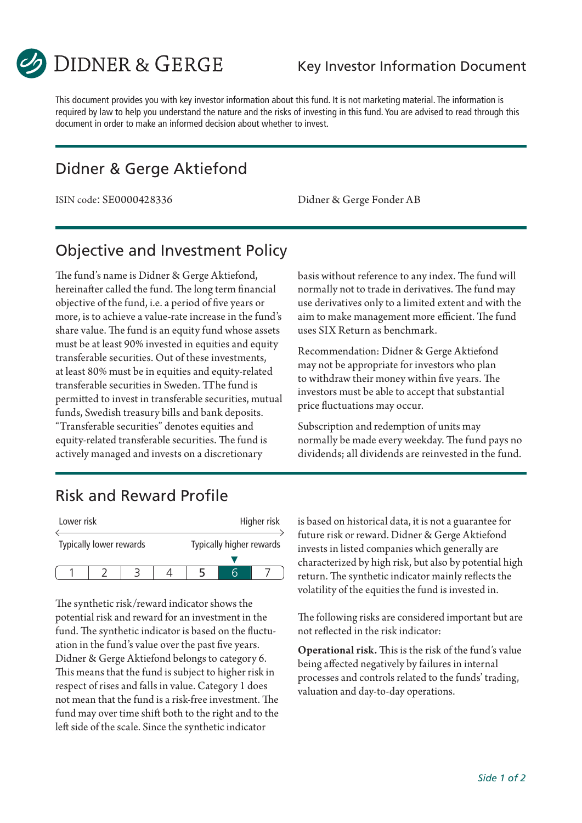

This document provides you with key investor information about this fund. It is not marketing material. The information is required by law to help you understand the nature and the risks of investing in this fund. You are advised to read through this document in order to make an informed decision about whether to invest.

## Didner & Gerge Aktiefond

ISIN code: SE0000428336 Didner & Gerge Fonder AB

### Objective and Investment Policy

The fund's name is Didner & Gerge Aktiefond, hereinafter called the fund. The long term financial objective of the fund, i.e. a period of five years or more, is to achieve a value-rate increase in the fund's share value. The fund is an equity fund whose assets must be at least 90% invested in equities and equity transferable securities. Out of these investments, at least 80% must be in equities and equity-related transferable securities in Sweden. TThe fund is permitted to invest in transferable securities, mutual funds, Swedish treasury bills and bank deposits. "Transferable securities" denotes equities and equity-related transferable securities. The fund is actively managed and invests on a discretionary

basis without reference to any index. The fund will normally not to trade in derivatives. The fund may use derivatives only to a limited extent and with the aim to make management more efficient. The fund uses SIX Return as benchmark.

Recommendation: Didner & Gerge Aktiefond may not be appropriate for investors who plan to withdraw their money within five years. The investors must be able to accept that substantial price fluctuations may occur.

Subscription and redemption of units may normally be made every weekday. The fund pays no dividends; all dividends are reinvested in the fund.

#### Risk and Reward Profile

| Lower risk              |  |  |                          |  | Higher risk |
|-------------------------|--|--|--------------------------|--|-------------|
| Typically lower rewards |  |  | Typically higher rewards |  |             |
|                         |  |  |                          |  |             |
|                         |  |  |                          |  |             |

The synthetic risk/reward indicator shows the potential risk and reward for an investment in the fund. The synthetic indicator is based on the fluctuation in the fund's value over the past five years. Didner & Gerge Aktiefond belongs to category 6. This means that the fund is subject to higher risk in respect of rises and falls in value. Category 1 does not mean that the fund is a risk-free investment. The fund may over time shift both to the right and to the left side of the scale. Since the synthetic indicator

is based on historical data, it is not a guarantee for future risk or reward. Didner & Gerge Aktiefond invests in listed companies which generally are characterized by high risk, but also by potential high return. The synthetic indicator mainly reflects the volatility of the equities the fund is invested in.

The following risks are considered important but are not reflected in the risk indicator:

Operational risk. This is the risk of the fund's value being affected negatively by failures in internal processes and controls related to the funds' trading, valuation and day-to-day operations.